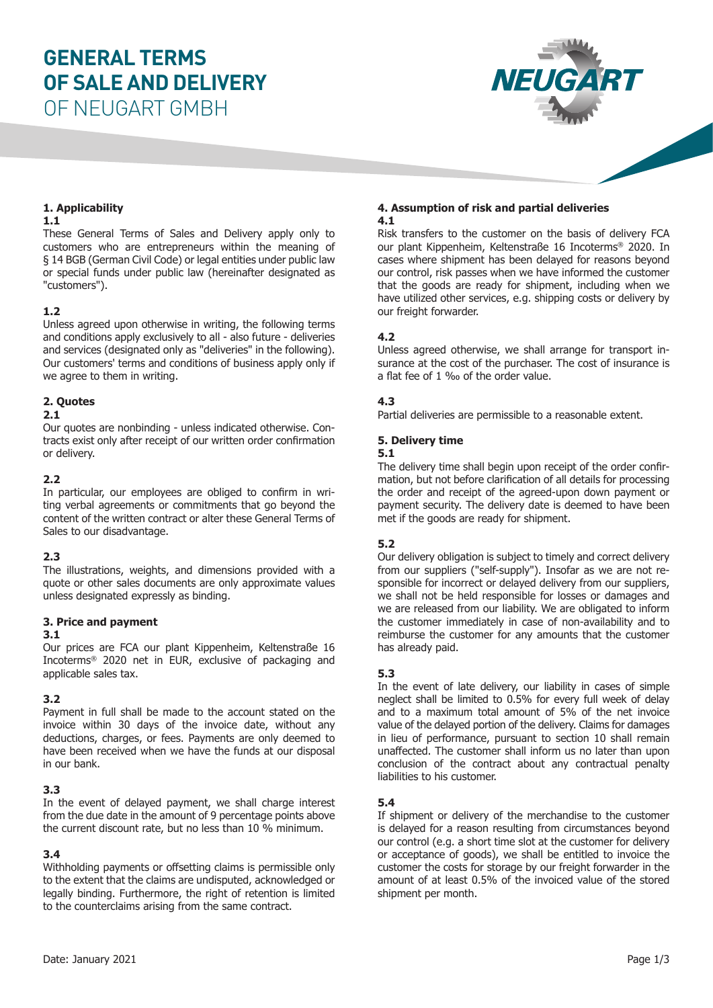# **GENERAL TERMS OF SALE AND DELIVERY**

OF NEUGART GMBH



# **1. Applicability**

#### **1.1**

These General Terms of Sales and Delivery apply only to customers who are entrepreneurs within the meaning of § 14 BGB (German Civil Code) or legal entities under public law or special funds under public law (hereinafter designated as "customers").

### **1.2**

Unless agreed upon otherwise in writing, the following terms and conditions apply exclusively to all - also future - deliveries and services (designated only as "deliveries" in the following). Our customers' terms and conditions of business apply only if we agree to them in writing.

# **2. Quotes**

#### **2.1**

Our quotes are nonbinding - unless indicated otherwise. Contracts exist only after receipt of our written order confirmation or delivery.

# **2.2**

In particular, our employees are obliged to confirm in writing verbal agreements or commitments that go beyond the content of the written contract or alter these General Terms of Sales to our disadvantage.

# **2.3**

The illustrations, weights, and dimensions provided with a quote or other sales documents are only approximate values unless designated expressly as binding.

### **3. Price and payment**

### **3.1**

Our prices are FCA our plant Kippenheim, Keltenstraße 16 Incoterms® 2020 net in EUR, exclusive of packaging and applicable sales tax.

### **3.2**

Payment in full shall be made to the account stated on the invoice within 30 days of the invoice date, without any deductions, charges, or fees. Payments are only deemed to have been received when we have the funds at our disposal in our bank.

### **3.3**

In the event of delayed payment, we shall charge interest from the due date in the amount of 9 percentage points above the current discount rate, but no less than 10 % minimum.

### **3.4**

Withholding payments or offsetting claims is permissible only to the extent that the claims are undisputed, acknowledged or legally binding. Furthermore, the right of retention is limited to the counterclaims arising from the same contract.

#### **4. Assumption of risk and partial deliveries 4.1**

Risk transfers to the customer on the basis of delivery FCA our plant Kippenheim, Keltenstraße 16 Incoterms® 2020. In cases where shipment has been delayed for reasons beyond our control, risk passes when we have informed the customer that the goods are ready for shipment, including when we have utilized other services, e.g. shipping costs or delivery by our freight forwarder.

# **4.2**

Unless agreed otherwise, we shall arrange for transport insurance at the cost of the purchaser. The cost of insurance is a flat fee of 1 ‰ of the order value.

# **4.3**

Partial deliveries are permissible to a reasonable extent.

# **5. Delivery time**

#### **5.1**

The delivery time shall begin upon receipt of the order confirmation, but not before clarification of all details for processing the order and receipt of the agreed-upon down payment or payment security. The delivery date is deemed to have been met if the goods are ready for shipment.

### **5.2**

Our delivery obligation is subject to timely and correct delivery from our suppliers ("self-supply"). Insofar as we are not responsible for incorrect or delayed delivery from our suppliers, we shall not be held responsible for losses or damages and we are released from our liability. We are obligated to inform the customer immediately in case of non-availability and to reimburse the customer for any amounts that the customer has already paid.

### **5.3**

In the event of late delivery, our liability in cases of simple neglect shall be limited to 0.5% for every full week of delay and to a maximum total amount of 5% of the net invoice value of the delayed portion of the delivery. Claims for damages in lieu of performance, pursuant to section 10 shall remain unaffected. The customer shall inform us no later than upon conclusion of the contract about any contractual penalty liabilities to his customer.

### **5.4**

If shipment or delivery of the merchandise to the customer is delayed for a reason resulting from circumstances beyond our control (e.g. a short time slot at the customer for delivery or acceptance of goods), we shall be entitled to invoice the customer the costs for storage by our freight forwarder in the amount of at least 0.5% of the invoiced value of the stored shipment per month.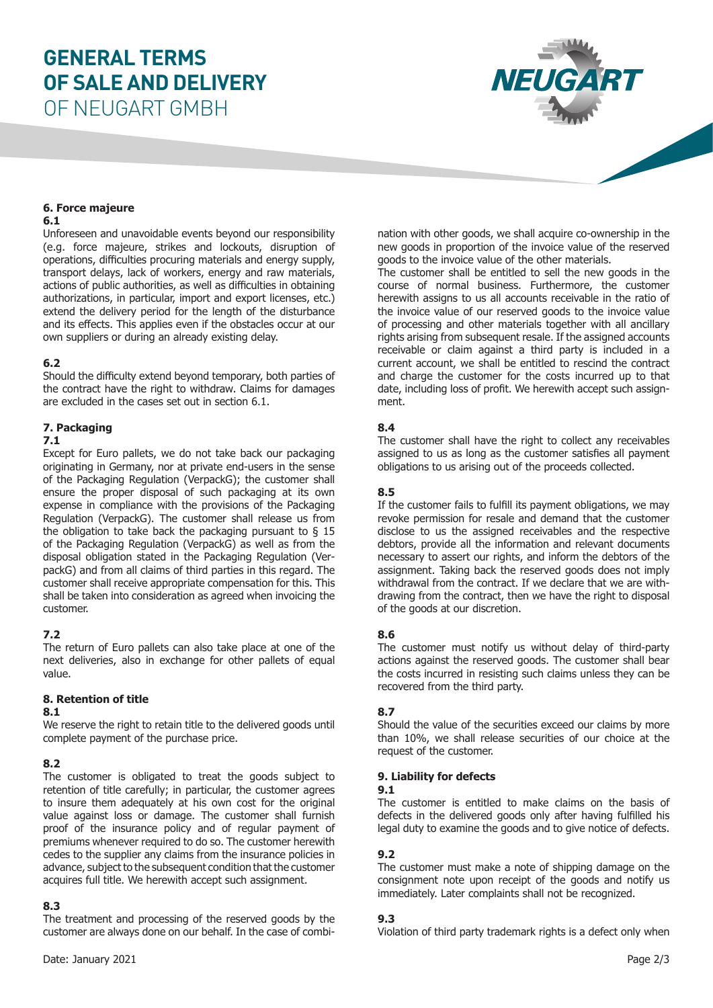# **GENERAL TERMS OF SALE AND DELIVERY**



# OF NEUGART GMBH

# **6. Force majeure**

#### **6.1**

Unforeseen and unavoidable events beyond our responsibility (e.g. force majeure, strikes and lockouts, disruption of operations, difficulties procuring materials and energy supply, transport delays, lack of workers, energy and raw materials, actions of public authorities, as well as difficulties in obtaining authorizations, in particular, import and export licenses, etc.) extend the delivery period for the length of the disturbance and its effects. This applies even if the obstacles occur at our own suppliers or during an already existing delay.

#### **6.2**

Should the difficulty extend beyond temporary, both parties of the contract have the right to withdraw. Claims for damages are excluded in the cases set out in section 6.1.

# **7. Packaging**

#### **7.1**

Except for Euro pallets, we do not take back our packaging originating in Germany, nor at private end-users in the sense of the Packaging Regulation (VerpackG); the customer shall ensure the proper disposal of such packaging at its own expense in compliance with the provisions of the Packaging Regulation (VerpackG). The customer shall release us from the obligation to take back the packaging pursuant to  $\S$  15 of the Packaging Regulation (VerpackG) as well as from the disposal obligation stated in the Packaging Regulation (VerpackG) and from all claims of third parties in this regard. The customer shall receive appropriate compensation for this. This shall be taken into consideration as agreed when invoicing the customer.

### **7.2**

The return of Euro pallets can also take place at one of the next deliveries, also in exchange for other pallets of equal value.

### **8. Retention of title**

#### **8.1**

We reserve the right to retain title to the delivered goods until complete payment of the purchase price.

### **8.2**

The customer is obligated to treat the goods subject to retention of title carefully; in particular, the customer agrees to insure them adequately at his own cost for the original value against loss or damage. The customer shall furnish proof of the insurance policy and of regular payment of premiums whenever required to do so. The customer herewith cedes to the supplier any claims from the insurance policies in advance, subject to the subsequent condition that the customer acquires full title. We herewith accept such assignment.

### **8.3**

The treatment and processing of the reserved goods by the customer are always done on our behalf. In the case of combination with other goods, we shall acquire co-ownership in the new goods in proportion of the invoice value of the reserved goods to the invoice value of the other materials.

The customer shall be entitled to sell the new goods in the course of normal business. Furthermore, the customer herewith assigns to us all accounts receivable in the ratio of the invoice value of our reserved goods to the invoice value of processing and other materials together with all ancillary rights arising from subsequent resale. If the assigned accounts receivable or claim against a third party is included in a current account, we shall be entitled to rescind the contract and charge the customer for the costs incurred up to that date, including loss of profit. We herewith accept such assignment.

#### **8.4**

The customer shall have the right to collect any receivables assigned to us as long as the customer satisfies all payment obligations to us arising out of the proceeds collected.

#### **8.5**

If the customer fails to fulfill its payment obligations, we may revoke permission for resale and demand that the customer disclose to us the assigned receivables and the respective debtors, provide all the information and relevant documents necessary to assert our rights, and inform the debtors of the assignment. Taking back the reserved goods does not imply withdrawal from the contract. If we declare that we are withdrawing from the contract, then we have the right to disposal of the goods at our discretion.

#### **8.6**

The customer must notify us without delay of third-party actions against the reserved goods. The customer shall bear the costs incurred in resisting such claims unless they can be recovered from the third party.

### **8.7**

Should the value of the securities exceed our claims by more than 10%, we shall release securities of our choice at the request of the customer.

#### **9. Liability for defects**

#### **9.1**

The customer is entitled to make claims on the basis of defects in the delivered goods only after having fulfilled his legal duty to examine the goods and to give notice of defects.

#### **9.2**

The customer must make a note of shipping damage on the consignment note upon receipt of the goods and notify us immediately. Later complaints shall not be recognized.

#### **9.3**

Violation of third party trademark rights is a defect only when